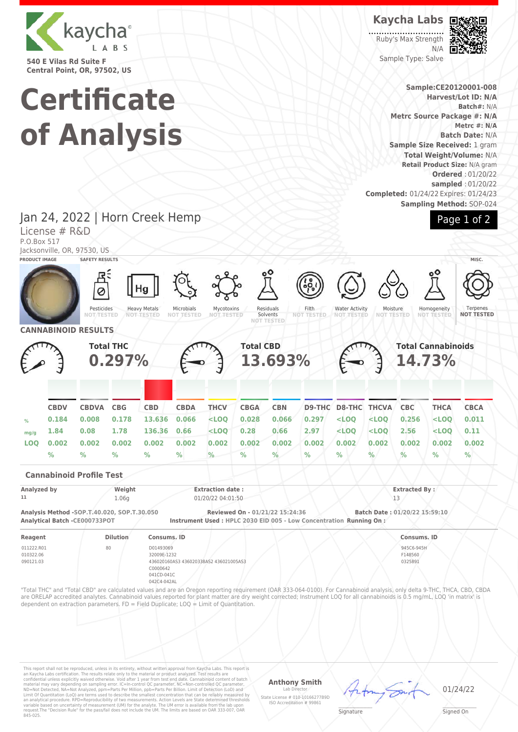

**540 E Vilas Rd Suite F Central Point, OR, 97502, US**

License # R&D

# **Certificate of Analysis**

Jan 24, 2022 | Horn Creek Hemp

**Kaycha Labs**

Ruby's Max Strength N/A Sample Type: Salve



**Sample:CE20120001-008 Harvest/Lot ID: N/A Batch#:** N/A **Metrc Source Package #: N/A Metrc #: N/A Batch Date:** N/A **Sample Size Received:** 1 gram **Total Weight/Volume:** N/A **Retail Product Size:** N/A gram **Ordered** : 01/20/22 **sampled** : 01/20/22 **Completed:** 01/24/22 Expires: 01/24/23 **Sampling Method:** SOP-024



P.O.Box 517 Jacksonville, OR, 97530, US **PRODUCT IMAGE SAFETY RESULTS MISC.** Ø Ha Pesticides Residuals Heavy Metals Microbials Mycotoxins Filth Water Activity Moisture<br>NOT TEST Homogeneity **Terpenes NOT TESTED NOT TESTED NOT TESTED** Solvents<br>NOT TEST **NOT TESTED NOT TESTED NOT TESTED NOT TESTED NOT TESTED NOT TESTED NOT TESTED CANNABINOID RESULTS Total THC Total CBD Total Cannabinoids 13.693% 0.297% 14.73% CBDV CBDVA CBG CBD CBDA THCV CBGA CBN D9-THC D8-THC THCVA CBC THCA CBCA % 0.184 0.008 0.178 13.636 0.066 <LOQ 0.028 0.066 0.297 <LOQ <LOQ 0.256 <LOQ 0.011 mg/g 1.84 0.08 1.78 136.36 0.66 <LOQ 0.28 0.66 2.97 <LOQ <LOQ 2.56 <LOQ 0.11 LOQ 0.002 0.002 0.002 0.002 0.002 0.002 0.002 0.002 0.002 0.002 0.002 0.002 0.002 0.002 % % % % % % % % % % % % % % Cannabinoid Profile Test Analyzed by Weight Extraction date : Extracted By : 11** 1.06g 01/20/22 04:01:50 13 **Analysis Method -SOP.T.40.020, SOP.T.30.050 Reviewed On - 01/21/22 15:24:36 Batch Date : 01/20/22 15:59:10 Analytical Batch -CE000733POT Instrument Used : HPLC 2030 EID 005 - Low Concentration Running On : Reagent Dilution Consums. ID Consums. ID** 011222.R01 80 D01493069 945C6-945H 010322.06 32009E-1232 F148560 090121.03 436020160AS3 436020338AS2 436021005AS3 0325891 C0000642 041CD-041C 042C4-042AL "Total THC" and "Total CBD" are calculated values and are an Oregon reporting requirement (OAR 333-064-0100). For Cannabinoid analysis, only delta 9-THC, THCA, CBD, CBDA are ORELAP accredited analytes. Cannabinoid values reported for plant matter are dry weight corrected; Instrument LOQ for all cannabinoids is 0.5 mg/mL, LOQ 'in matrix' is dependent on extraction parameters. FD = Field Duplicate; LOQ = Limit of Quantitation.

This report shall not be reproduced, unless in its entirety, without written approval from Kaycha Labs. This report is<br>an Kaycha Labs certification. The results relate only to the material or product analyzed. Test result

## **Anthony Smith**

Lab Director State License # 010-10166277B9D ISO Accreditation # 99861 01/24/22

 $\mathscr{L}\setminus\mathscr{L}$ **Signature** 

Signed On